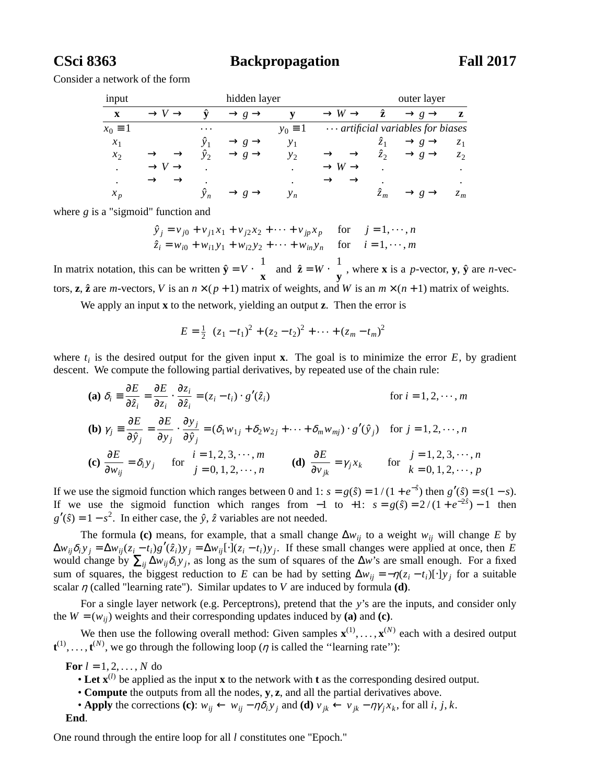**CSci 8363 Backpropagation Fall 2017**

Consider a network of the form

| input          |                             |             | hidden layer                  |                |                                | outer layer |                                          |                |
|----------------|-----------------------------|-------------|-------------------------------|----------------|--------------------------------|-------------|------------------------------------------|----------------|
| $\mathbf{x}$   | $\rightarrow V \rightarrow$ | ŷ           | $\rightarrow$ g $\rightarrow$ |                | $\rightarrow$ W $\rightarrow$  | ź           | $\rightarrow$ g $\rightarrow$            | z              |
| $x_0 \equiv 1$ |                             | $\cdots$    |                               | $y_0 \equiv 1$ |                                |             | $\cdots$ artificial variables for biases |                |
| $x_1$          |                             | ÿ,          | $\rightarrow g \rightarrow$   | $y_1$          |                                | $\hat{z}_1$ | $\rightarrow$ g $\rightarrow$            | z <sub>1</sub> |
| $x_2$          | $\rightarrow$               | ÿэ          | $\rightarrow$ g $\rightarrow$ | $y_2$          |                                | $\hat{z}_2$ | $\rightarrow$ g $\rightarrow$            | Z <sub>2</sub> |
| $\bullet$      | $\rightarrow V \rightarrow$ |             |                               | ٠              | $\rightarrow$ W $\rightarrow$  |             |                                          | ٠              |
| $\bullet$      | $\rightarrow$               |             |                               | $\bullet$      | $\rightarrow$<br>$\rightarrow$ | ٠           |                                          | ٠              |
| $x_{p}$        |                             | $\hat{y}_n$ |                               | $y_n$          |                                | $\hat{z}_m$ |                                          | $z_m$          |

where *g* is a "sigmoid" function and

$$
\hat{y}_j = v_{j0} + v_{j1}x_1 + v_{j2}x_2 + \dots + v_{jp}x_p \quad \text{for} \quad j = 1, \dots, n
$$
  
\n
$$
\hat{z}_i = w_{i0} + w_{i1}y_1 + w_{i2}y_2 + \dots + w_{in}y_n \quad \text{for} \quad i = 1, \dots, m
$$

In matrix notation, this can be written  $\hat{\mathbf{y}} = V \cdot$ l 1 **x**  $\lambda$  $\int$  and  $\hat{\mathbf{z}} = W \cdot \left($ l 1 **y**  $\overline{\phantom{a}}$ where **x** is a *p*-vector, **y**,  $\hat{\mathbf{y}}$  are *n*-vectors, **z**,  $\hat{\mathbf{z}}$  are *m*-vectors, *V* is an  $n \times (p + 1)$  matrix of weights, and *W* is an  $m \times (n + 1)$  matrix of weights.

We apply an input **x** to the network, yielding an output **z**. Then the error is

$$
E = \frac{1}{2} \bigg( (z_1 - t_1)^2 + (z_2 - t_2)^2 + \dots + (z_m - t_m)^2 \bigg)
$$

where  $t_i$  is the desired output for the given input **x**. The goal is to minimize the error  $E$ , by gradient descent. We compute the following partial derivatives, by repeated use of the chain rule:

(a) 
$$
\delta_i = \frac{\partial E}{\partial \hat{z}_i} = \frac{\partial E}{\partial z_i} \cdot \frac{\partial z_i}{\partial \hat{z}_i} = (z_i - t_i) \cdot g'(\hat{z}_i)
$$
 for  $i = 1, 2, \dots, m$   
\n(b)  $\gamma_j = \frac{\partial E}{\partial \hat{y}_j} = \frac{\partial E}{\partial y_j} \cdot \frac{\partial y_j}{\partial \hat{y}_j} = (\delta_1 w_{1j} + \delta_2 w_{2j} + \dots + \delta_m w_{mj}) \cdot g'(\hat{y}_j)$  for  $j = 1, 2, \dots, n$   
\n(c)  $\frac{\partial E}{\partial w_{ij}} = \delta_i y_j$  for  $\begin{cases} i = 1, 2, 3, \dots, m \\ j = 0, 1, 2, \dots, n \end{cases}$  (d)  $\frac{\partial E}{\partial v_{jk}} = \gamma_j x_k$  for  $\begin{cases} j = 1, 2, 3, \dots, n \\ k = 0, 1, 2, \dots, p \end{cases}$ 

If we use the sigmoid function which ranges between 0 and 1:  $s = g(\hat{s}) = 1/(1 + e^{-\hat{s}})$  then  $g'(\hat{s}) = s(1 - s)$ . If we use the sigmoid function which ranges from  $-1$  to  $+1$ :  $s = g(\hat{s}) = 2/(1 + e^{-2\hat{s}}) - 1$  then  $g'(\hat{s}) = 1 - s^2$ . In either case, the  $\hat{y}$ ,  $\hat{z}$  variables are not needed.

The formula **(c)** means, for example, that a small change  $\Delta w_{ij}$  to a weight  $w_{ij}$  will change *E* by  $\Delta w_{ij}\delta_i y_j = \Delta w_{ij}(z_i - t_i)g'(\hat{z}_i)y_j = \Delta w_{ij}[\cdot](z_i - t_i)y_j$ . If these small changes were applied at once, then E would change by  $\sum_{ij} \Delta w_{ij} \delta_i y_j$ , as long as the sum of squares of the  $\Delta w$ 's are small enough. For a fixed sum of squares, the biggest reduction to *E* can be had by setting  $\Delta w_{ij} = -\eta(z_i - t_i)[\cdot]y_j$  for a suitable scalar  $\eta$  (called "learning rate"). Similar updates to *V* are induced by formula **(d)**.

For a single layer network (e.g. Perceptrons), pretend that the *y*'s are the inputs, and consider only the  $W = (w_{ij})$  weights and their corresponding updates induced by (a) and (c).

We then use the following overall method: Given samples  $\mathbf{x}^{(1)}, \ldots, \mathbf{x}^{(N)}$  each with a desired output  $\mathbf{t}^{(1)}, \ldots, \mathbf{t}^{(N)}$ , we go through the following loop ( $\eta$  is called the "learning rate"):

**For**  $l = 1, 2, ..., N$  do

- Let  $\mathbf{x}^{(l)}$  be applied as the input **x** to the network with **t** as the corresponding desired output.
- *•* **Compute** the outputs from all the nodes, **y**, **z**, and all the partial derivatives above.
- Apply the corrections (c):  $w_{ij} \leftarrow w_{ij} \eta \delta_i y_j$  and (d)  $v_{jk} \leftarrow v_{jk} \eta \gamma_j x_k$ , for all *i*, *j*, *k*. **End**.

One round through the entire loop for all *l* constitutes one "Epoch."